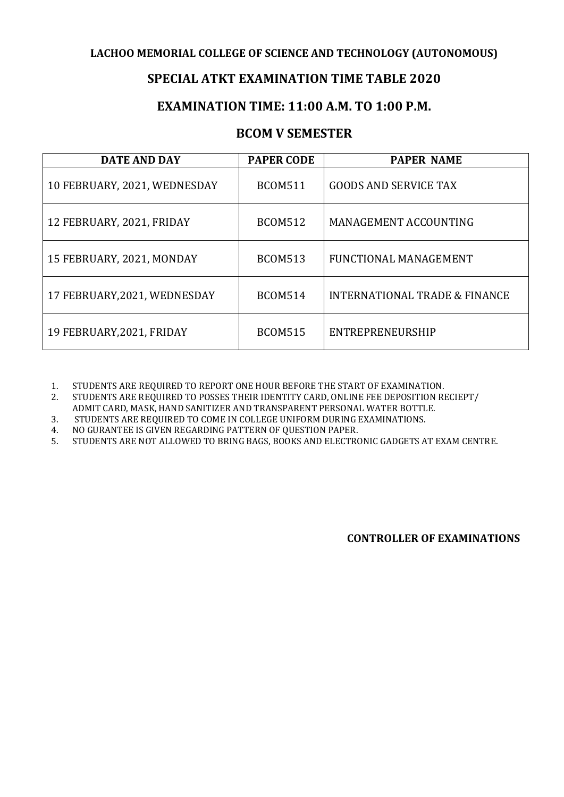#### **LACHOO MEMORIAL COLLEGE OF SCIENCE AND TECHNOLOGY (AUTONOMOUS)**

# **SPECIAL ATKT EXAMINATION TIME TABLE 2020**

## **EXAMINATION TIME: 11:00 A.M. TO 1:00 P.M.**

#### **BCOM V SEMESTER**

| <b>DATE AND DAY</b>          | <b>PAPER CODE</b> | <b>PAPER NAME</b>                        |
|------------------------------|-------------------|------------------------------------------|
| 10 FEBRUARY, 2021, WEDNESDAY | <b>BCOM511</b>    | <b>GOODS AND SERVICE TAX</b>             |
| 12 FEBRUARY, 2021, FRIDAY    | <b>BCOM512</b>    | MANAGEMENT ACCOUNTING                    |
| 15 FEBRUARY, 2021, MONDAY    | <b>BCOM513</b>    | <b>FUNCTIONAL MANAGEMENT</b>             |
| 17 FEBRUARY, 2021, WEDNESDAY | <b>BCOM514</b>    | <b>INTERNATIONAL TRADE &amp; FINANCE</b> |
| 19 FEBRUARY, 2021, FRIDAY    | <b>BCOM515</b>    | ENTREPRENEURSHIP                         |

1. STUDENTS ARE REQUIRED TO REPORT ONE HOUR BEFORE THE START OF EXAMINATION.

2. STUDENTS ARE REQUIRED TO POSSES THEIR IDENTITY CARD, ONLINE FEE DEPOSITION RECIEPT/ ADMIT CARD, MASK, HAND SANITIZER AND TRANSPARENT PERSONAL WATER BOTTLE.

3. STUDENTS ARE REQUIRED TO COME IN COLLEGE UNIFORM DURING EXAMINATIONS.<br>4. NO GURANTEE IS GIVEN REGARDING PATTERN OF OUESTION PAPER.

4. NO GURANTEE IS GIVEN REGARDING PATTERN OF QUESTION PAPER.<br>5. STUDENTS ARE NOT ALLOWED TO BRING BAGS. BOOKS AND ELECTRO

5. STUDENTS ARE NOT ALLOWED TO BRING BAGS, BOOKS AND ELECTRONIC GADGETS AT EXAM CENTRE.

**CONTROLLER OF EXAMINATIONS**